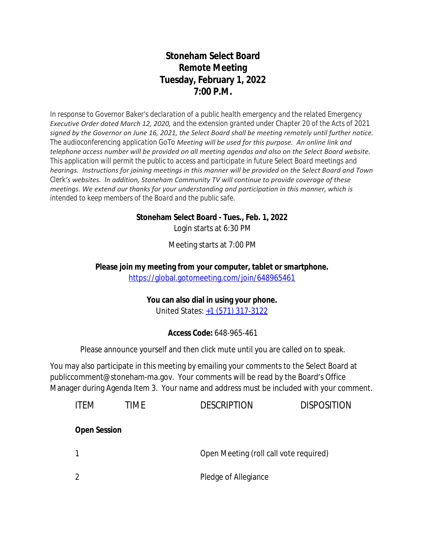# **Stoneham Select Board Remote Meeting Tuesday, February 1, 2022 7:00 P.M.**

*In response to Governor Baker's declaration of a public health emergency and the related Emergency Executive Order dated March 12, 2020, and the extension granted under Chapter 20 of the Acts of 2021 signed by the Governor on June 16, 2021, the Select Board shall be meeting remotely until further notice. The audioconferencing application GoTo Meeting will be used for this purpose. An online link and telephone access number will be provided on all meeting agendas and also on the Select Board website. This application will permit the public to access and participate in future Select Board meetings and hearings. Instructions for joining meetings in this manner will be provided on the Select Board and Town Clerk's websites. In addition, Stoneham Community TV will continue to provide coverage of these meetings. We extend our thanks for your understanding and participation in this manner, which is intended to keep members of the Board and the public safe.*

#### **Stoneham Select Board - Tues., Feb. 1, 2022**

Login starts at 6:30 PM

Meeting starts at 7:00 PM

**Please join my meeting from your computer, tablet or smartphone.**  <https://global.gotomeeting.com/join/648965461>

#### **You can also dial in using your phone.**

United States: [+1 \(571\) 317-3122](tel:+15713173122,,648965461)

### **Access Code:** 648-965-461

Please announce yourself and then click mute until you are called on to speak.

You may also participate in this meeting by emailing your comments to the Select Board at publiccomment@stoneham-ma.gov. Your comments will be read by the Board's Office Manager during Agenda Item 3. Your name and address must be included with your comment.

| <b>ITFM</b>         | TIME | <b>DESCRIPTION</b>   | <b>DISPOSITION</b>                     |  |
|---------------------|------|----------------------|----------------------------------------|--|
| <b>Open Session</b> |      |                      |                                        |  |
|                     |      |                      | Open Meeting (roll call vote required) |  |
|                     |      | Pledge of Allegiance |                                        |  |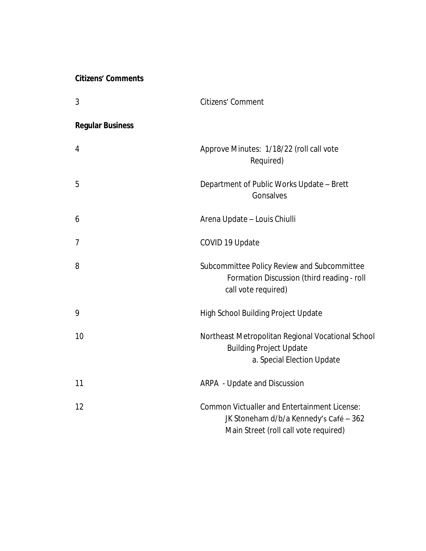### **Citizens' Comments**

| 3                       | Citizens' Comment                                                                                                                      |
|-------------------------|----------------------------------------------------------------------------------------------------------------------------------------|
| <b>Regular Business</b> |                                                                                                                                        |
| 4                       | Approve Minutes: 1/18/22 (roll call vote<br>Required)                                                                                  |
| 5                       | Department of Public Works Update - Brett<br>Gonsalves                                                                                 |
| 6                       | Arena Update - Louis Chiulli                                                                                                           |
| $\overline{7}$          | COVID 19 Update                                                                                                                        |
| 8                       | Subcommittee Policy Review and Subcommittee<br>Formation Discussion (third reading - roll<br>call vote required)                       |
| 9                       | <b>High School Building Project Update</b>                                                                                             |
| 10                      | Northeast Metropolitan Regional Vocational School<br><b>Building Project Update</b><br>a. Special Election Update                      |
| 11                      | ARPA - Update and Discussion                                                                                                           |
| 12                      | <b>Common Victualler and Entertainment License:</b><br>JK Stoneham d/b/a Kennedy's Café - 362<br>Main Street (roll call vote required) |